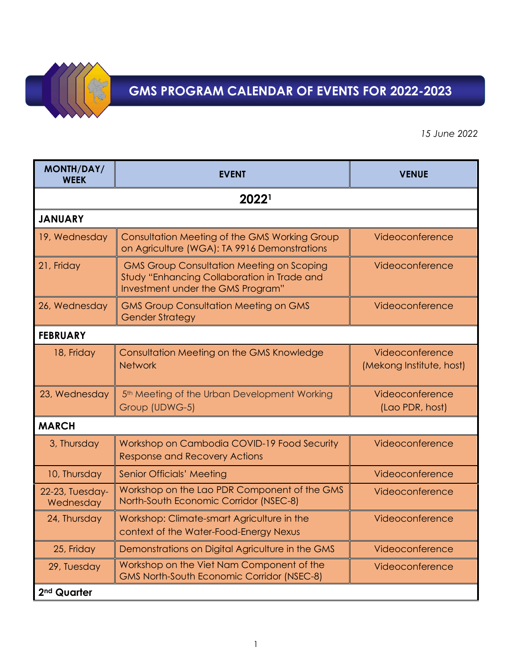

## **GMS PROGRAM CALENDAR OF EVENTS FOR 2022-2023**

*15 June 2022*

| <b>MONTH/DAY/</b><br><b>WEEK</b> | <b>EVENT</b>                                                                                                                         | <b>VENUE</b>                                |  |  |
|----------------------------------|--------------------------------------------------------------------------------------------------------------------------------------|---------------------------------------------|--|--|
| 20221                            |                                                                                                                                      |                                             |  |  |
| <b>JANUARY</b>                   |                                                                                                                                      |                                             |  |  |
| 19, Wednesday                    | <b>Consultation Meeting of the GMS Working Group</b><br>on Agriculture (WGA): TA 9916 Demonstrations                                 | Videoconference                             |  |  |
| 21, Friday                       | <b>GMS Group Consultation Meeting on Scoping</b><br>Study "Enhancing Collaboration in Trade and<br>Investment under the GMS Program" | Videoconference                             |  |  |
| 26, Wednesday                    | <b>GMS Group Consultation Meeting on GMS</b><br><b>Gender Strategy</b>                                                               | Videoconference                             |  |  |
| <b>FEBRUARY</b>                  |                                                                                                                                      |                                             |  |  |
| 18, Friday                       | Consultation Meeting on the GMS Knowledge<br><b>Network</b>                                                                          | Videoconference<br>(Mekong Institute, host) |  |  |
| 23, Wednesday                    | 5 <sup>th</sup> Meeting of the Urban Development Working<br>Group (UDWG-5)                                                           | Videoconference<br>(Lao PDR, host)          |  |  |
| <b>MARCH</b>                     |                                                                                                                                      |                                             |  |  |
| 3, Thursday                      | Workshop on Cambodia COVID-19 Food Security<br><b>Response and Recovery Actions</b>                                                  | Videoconference                             |  |  |
| 10, Thursday                     | <b>Senior Officials' Meeting</b>                                                                                                     | Videoconference                             |  |  |
| 22-23, Tuesday-<br>Wednesday     | Workshop on the Lao PDR Component of the GMS<br>North-South Economic Corridor (NSEC-8)                                               | Videoconference                             |  |  |
| 24, Thursday                     | Workshop: Climate-smart Agriculture in the<br>context of the Water-Food-Energy Nexus                                                 | Videoconference                             |  |  |
| 25, Friday                       | Demonstrations on Digital Agriculture in the GMS                                                                                     | Videoconference                             |  |  |
| 29, Tuesday                      | Workshop on the Viet Nam Component of the<br><b>GMS North-South Economic Corridor (NSEC-8)</b>                                       | Videoconference                             |  |  |
| 2 <sup>nd</sup> Quarter          |                                                                                                                                      |                                             |  |  |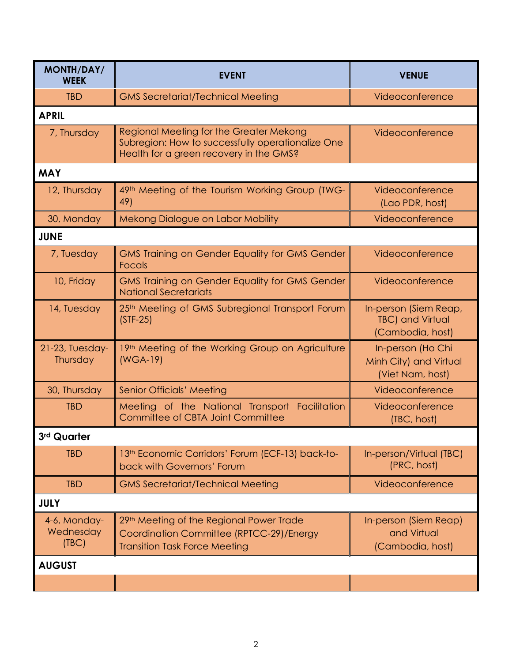| <b>MONTH/DAY/</b><br><b>WEEK</b>   | <b>EVENT</b>                                                                                                                            | <b>VENUE</b>                                                         |  |  |
|------------------------------------|-----------------------------------------------------------------------------------------------------------------------------------------|----------------------------------------------------------------------|--|--|
| <b>TBD</b>                         | <b>GMS Secretariat/Technical Meeting</b>                                                                                                | Videoconference                                                      |  |  |
| <b>APRIL</b>                       |                                                                                                                                         |                                                                      |  |  |
| 7, Thursday                        | Regional Meeting for the Greater Mekong<br>Subregion: How to successfully operationalize One<br>Health for a green recovery in the GMS? | Videoconference                                                      |  |  |
| <b>MAY</b>                         |                                                                                                                                         |                                                                      |  |  |
| 12, Thursday                       | 49th Meeting of the Tourism Working Group (TWG-<br>49)                                                                                  | Videoconference<br>(Lao PDR, host)                                   |  |  |
| 30, Monday                         | Mekong Dialogue on Labor Mobility                                                                                                       | Videoconference                                                      |  |  |
| <b>JUNE</b>                        |                                                                                                                                         |                                                                      |  |  |
| 7, Tuesday                         | <b>GMS Training on Gender Equality for GMS Gender</b><br><b>Focals</b>                                                                  | Videoconference                                                      |  |  |
| 10, Friday                         | <b>GMS Training on Gender Equality for GMS Gender</b><br><b>National Secretariats</b>                                                   | Videoconference                                                      |  |  |
| 14, Tuesday                        | 25 <sup>th</sup> Meeting of GMS Subregional Transport Forum<br>$(STF-25)$                                                               | In-person (Siem Reap,<br><b>TBC)</b> and Virtual<br>(Cambodia, host) |  |  |
| 21-23, Tuesday-<br>Thursday        | 19th Meeting of the Working Group on Agriculture<br>$(WGA-19)$                                                                          | In-person (Ho Chi<br>Minh City) and Virtual<br>(Viet Nam, host)      |  |  |
| 30, Thursday                       | <b>Senior Officials' Meeting</b>                                                                                                        | Videoconference                                                      |  |  |
| <b>TBD</b>                         | Meeting of the National Transport Facilitation<br>Committee of CBTA Joint Committee                                                     | Videoconference<br>(TBC, host)                                       |  |  |
| 3 <sup>rd</sup> Quarter            |                                                                                                                                         |                                                                      |  |  |
| <b>TBD</b>                         | 13th Economic Corridors' Forum (ECF-13) back-to-<br>back with Governors' Forum                                                          | In-person/Virtual (TBC)<br>(PRC, host)                               |  |  |
| <b>TBD</b>                         | <b>GMS Secretariat/Technical Meeting</b>                                                                                                | Videoconference                                                      |  |  |
| <b>JULY</b>                        |                                                                                                                                         |                                                                      |  |  |
| 4-6, Monday-<br>Wednesday<br>(TEC) | 29th Meeting of the Regional Power Trade<br>Coordination Committee (RPTCC-29)/Energy<br><b>Transition Task Force Meeting</b>            | In-person (Siem Reap)<br>and Virtual<br>(Cambodia, host)             |  |  |
| <b>AUGUST</b>                      |                                                                                                                                         |                                                                      |  |  |
|                                    |                                                                                                                                         |                                                                      |  |  |